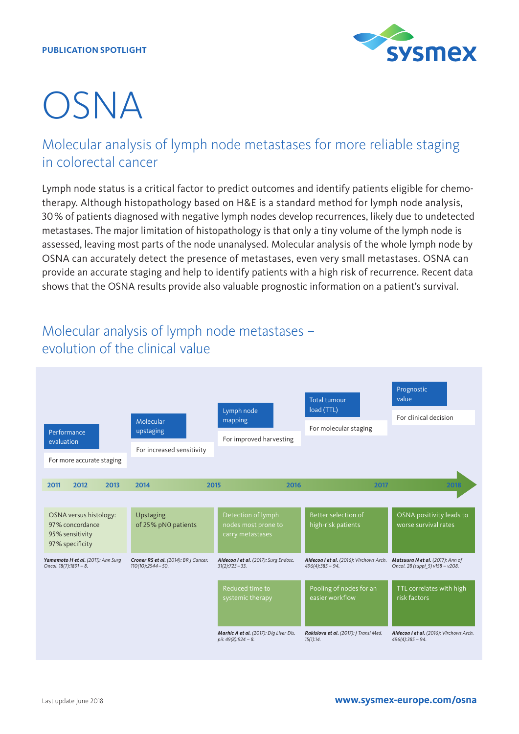#### **PUBLICATION SPOTLIGHT**



# OSNA

## Molecular analysis of lymph node metastases for more reliable staging in colorectal cancer

Lymph node status is a critical factor to predict outcomes and identify patients eligible for chemotherapy. Although histopathology based on H&E is a standard method for lymph node analysis, 30% of patients diagnosed with negative lymph nodes develop recurrences, likely due to undetected metastases. The major limitation of histopathology is that only a tiny volume of the lymph node is assessed, leaving most parts of the node unanalysed. Molecular analysis of the whole lymph node by OSNA can accurately detect the presence of metastases, even very small metastases. OSNA can provide an accurate staging and help to identify patients with a high risk of recurrence. Recent data shows that the OSNA results provide also valuable prognostic information on a patient's survival.

## Molecular analysis of lymph node metastases – evolution of the clinical value